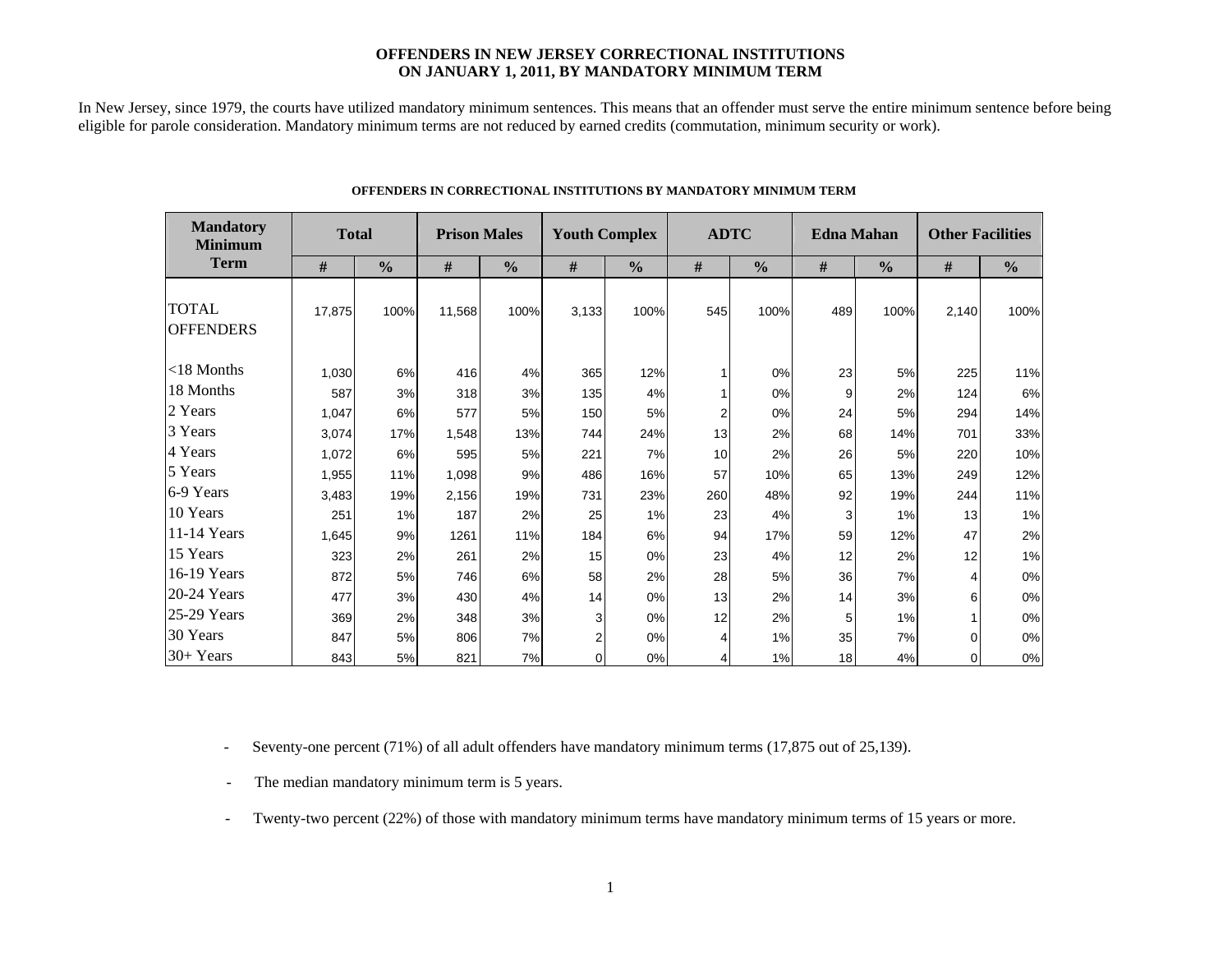### **OFFENDERS IN NEW JERSEY CORRECTIONAL INSTITUTIONS ON JANUARY 1, 2011, BY MANDATORY MINIMUM TERM**

In New Jersey, since 1979, the courts have utilized mandatory minimum sentences. This means that an offender must serve the entire minimum sentence before being eligible for parole consideration. Mandatory minimum terms are not reduced by earned credits (commutation, minimum security or work).

| <b>Mandatory</b><br><b>Minimum</b> | <b>Total</b> |               | <b>Prison Males</b> |               |                | <b>Youth Complex</b> | <b>ADTC</b> |               |     | <b>Edna Mahan</b> | <b>Other Facilities</b> |               |  |
|------------------------------------|--------------|---------------|---------------------|---------------|----------------|----------------------|-------------|---------------|-----|-------------------|-------------------------|---------------|--|
| <b>Term</b>                        | #            | $\frac{0}{0}$ | #                   | $\frac{0}{0}$ | #              | $\frac{0}{0}$        | #           | $\frac{0}{0}$ | #   | $\frac{0}{0}$     | #                       | $\frac{0}{0}$ |  |
| <b>TOTAL</b><br><b>OFFENDERS</b>   | 17,875       | 100%          | 11,568              | 100%          | 3,133          | 100%                 | 545         | 100%          | 489 | 100%              | 2,140                   | 100%          |  |
| $<$ 18 Months                      | 1,030        | 6%            | 416                 | 4%            | 365            | 12%                  |             | 0%            | 23  | 5%                | 225                     | 11%           |  |
| 18 Months                          | 587          | 3%            | 318                 | 3%            | 135            | 4%                   | 1           | 0%            | 9   | 2%                | 124                     | 6%            |  |
| 2 Years                            | 1,047        | 6%            | 577                 | 5%            | 150            | 5%                   | 2           | 0%            | 24  | 5%                | 294                     | 14%           |  |
| 3 Years                            | 3,074        | 17%           | 1,548               | 13%           | 744            | 24%                  | 13          | 2%            | 68  | 14%               | 701                     | 33%           |  |
| 4 Years                            | 1,072        | 6%            | 595                 | 5%            | 221            | 7%                   | 10          | 2%            | 26  | 5%                | 220                     | 10%           |  |
| 5 Years                            | 1,955        | 11%           | 1,098               | 9%            | 486            | 16%                  | 57          | 10%           | 65  | 13%               | 249                     | 12%           |  |
| 6-9 Years                          | 3,483        | 19%           | 2,156               | 19%           | 731            | 23%                  | 260         | 48%           | 92  | 19%               | 244                     | 11%           |  |
| 10 Years                           | 251          | 1%            | 187                 | 2%            | 25             | 1%                   | 23          | 4%            | 3   | 1%                | 13                      | 1%            |  |
| 11-14 Years                        | 1,645        | 9%            | 1261                | 11%           | 184            | 6%                   | 94          | 17%           | 59  | 12%               | 47                      | 2%            |  |
| 15 Years                           | 323          | 2%            | 261                 | 2%            | 15             | 0%                   | 23          | 4%            | 12  | 2%                | 12                      | 1%            |  |
| 16-19 Years                        | 872          | 5%            | 746                 | 6%            | 58             | 2%                   | 28          | 5%            | 36  | 7%                | 4                       | $0\%$         |  |
| 20-24 Years                        | 477          | 3%            | 430                 | 4%            | 14             | 0%                   | 13          | 2%            | 14  | 3%                | 6                       | 0%            |  |
| 25-29 Years                        | 369          | 2%            | 348                 | 3%            | 3              | 0%                   | 12          | 2%            | 5   | 1%                |                         | 0%            |  |
| 30 Years                           | 847          | 5%            | 806                 | 7%            | $\overline{2}$ | 0%                   | 4           | 1%            | 35  | 7%                | 0                       | 0%            |  |
| 30+ Years                          | 843          | 5%            | 821                 | 7%            | 0              | 0%                   | 4           | 1%            | 18  | 4%                | 0                       | $0\%$         |  |

#### **OFFENDERS IN CORRECTIONAL INSTITUTIONS BY MANDATORY MINIMUM TERM**

**Contract Contract** 

- Seventy-one percent (71%) of all adult offenders have mandatory minimum terms (17,875 out of 25,139).

- The median mandatory minimum term is 5 years.

-Twenty-two percent (22%) of those with mandatory minimum terms have mandatory minimum terms of 15 years or more.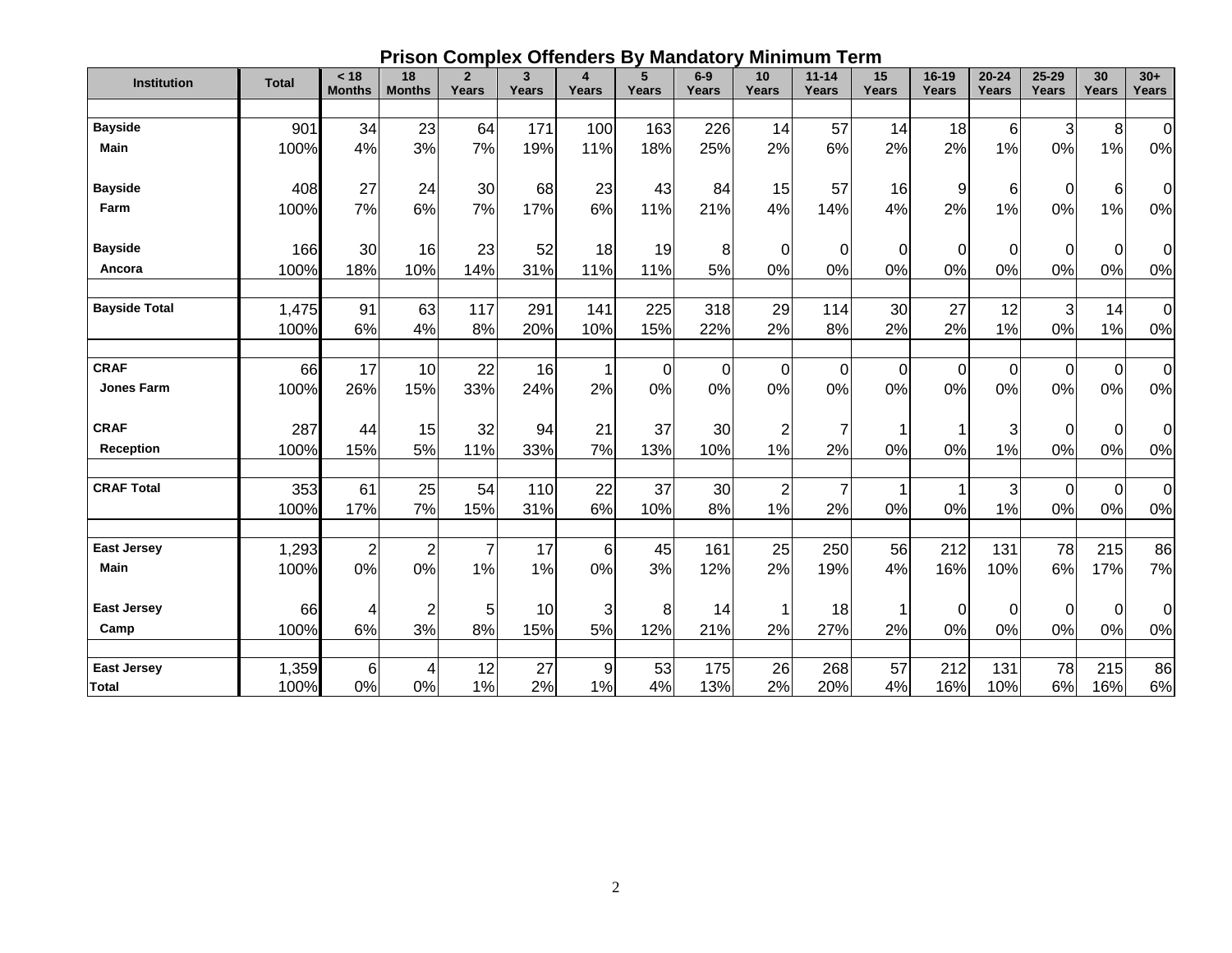## **Prison Complex Offenders By Mandatory Minimum Term**

| <b>Institution</b>                | <b>Total</b> | < 18<br><b>Months</b> | 18<br><b>Months</b> | $\overline{2}$<br>Years | 3<br>Years | 4<br>Years | 5<br>Years  | $6-9$<br><b>Years</b> | 10<br>Years    | $11 - 14$<br><b>Years</b> | 15<br>Years | 16-19<br>Years | $20 - 24$<br>Years | $25 - 29$<br>Years        | 30<br>Years | $30+$<br>Years |
|-----------------------------------|--------------|-----------------------|---------------------|-------------------------|------------|------------|-------------|-----------------------|----------------|---------------------------|-------------|----------------|--------------------|---------------------------|-------------|----------------|
|                                   |              |                       |                     |                         |            |            |             |                       |                |                           |             |                |                    |                           |             |                |
| <b>Bayside</b>                    | 901          | 34                    | 23                  | 64                      | 171        | 100        | 163         | 226                   | 14             | 57                        | 14          | 18             | 6                  | $\ensuremath{\mathsf{3}}$ | 8           | $\mathbf 0$    |
| <b>Main</b>                       | 100%         | 4%                    | 3%                  | 7%                      | 19%        | 11%        | 18%         | 25%                   | 2%             | 6%                        | 2%          | 2%             | 1%                 | 0%                        | 1%          | 0%             |
| <b>Bayside</b>                    | 408          | 27                    | 24                  | 30                      | 68         | 23         | 43          | 84                    | 15             | 57                        | 16          | 9              | 6                  | $\mathbf 0$               | 6           | 0              |
| Farm                              | 100%         | 7%                    | 6%                  | 7%                      | 17%        | 6%         | 11%         | 21%                   | 4%             | 14%                       | 4%          | 2%             | 1%                 | 0%                        | 1%          | 0%             |
| <b>Bayside</b>                    | 166          | 30                    | 16                  | 23                      | 52         | 18         | 19          | 8                     | 0              | $\overline{0}$            | 0           | $\mathbf 0$    | 0                  | 0                         | 0           | $\mathbf 0$    |
| Ancora                            | 100%         | 18%                   | 10%                 | 14%                     | 31%        | 11%        | 11%         | 5%                    | 0%             | 0%                        | 0%          | 0%             | 0%                 | 0%                        | 0%          | 0%             |
|                                   |              |                       |                     |                         |            |            |             |                       |                |                           |             |                |                    |                           |             |                |
| <b>Bayside Total</b>              | 1,475        | 91                    | 63                  | 117                     | 291        | 141        | 225         | 318                   | 29             | 114                       | 30          | 27             | 12                 | 3                         | 14          | $\mathbf 0$    |
|                                   | 100%         | 6%                    | 4%                  | 8%                      | 20%        | 10%        | 15%         | 22%                   | 2%             | 8%                        | 2%          | 2%             | 1%                 | 0%                        | 1%          | 0%             |
|                                   |              |                       |                     |                         |            |            |             |                       |                |                           |             |                |                    |                           |             |                |
| <b>CRAF</b>                       | 66           | 17                    | 10                  | 22                      | 16         | 1          | $\mathbf 0$ | $\overline{0}$        | $\mathbf 0$    | $\mathbf 0$               | 0           | $\mathbf 0$    | $\mathbf 0$        | 0                         | $\mathbf 0$ | $\mathbf 0$    |
| <b>Jones Farm</b>                 | 100%         | 26%                   | 15%                 | 33%                     | 24%        | 2%         | 0%          | 0%                    | 0%             | 0%                        | 0%          | 0%             | 0%                 | 0%                        | 0%          | 0%             |
| <b>CRAF</b>                       | 287          | 44                    | 15                  | 32                      | 94         | 21         | 37          | 30                    | $\overline{2}$ | 7                         | 1           | 1              | 3                  | $\Omega$                  | $\mathbf 0$ | $\mathbf 0$    |
| <b>Reception</b>                  | 100%         | 15%                   | 5%                  | 11%                     | 33%        | 7%         | 13%         | 10%                   | 1%             | 2%                        | 0%          | 0%             | 1%                 | 0%                        | 0%          | 0%             |
| <b>CRAF Total</b>                 | 353          | 61                    | 25                  | 54                      | 110        | 22         | 37          | 30                    | $\overline{c}$ | $\overline{7}$            | 1           | 1              | 3                  | 0                         | 0           | $\mathbf 0$    |
|                                   | 100%         | 17%                   | 7%                  | 15%                     | 31%        | 6%         | 10%         | 8%                    | 1%             | 2%                        | 0%          | 0%             | 1%                 | 0%                        | 0%          | 0%             |
|                                   |              |                       |                     |                         |            |            |             |                       |                |                           |             |                |                    |                           |             |                |
| <b>East Jersey</b><br><b>Main</b> | 1,293        | $\overline{2}$        | $\overline{2}$      | $\overline{7}$          | 17         | 6          | 45          | 161                   | 25             | 250                       | 56          | 212            | 131                | 78                        | 215         | 86             |
|                                   | 100%         | 0%                    | 0%                  | 1%                      | 1%         | 0%         | 3%          | 12%                   | 2%             | 19%                       | 4%          | 16%            | 10%                | 6%                        | 17%         | 7%             |
| <b>East Jersey</b>                | 66           | 4                     | $\overline{2}$      | 5                       | 10         | 3          | 8           | 14                    | 1              | 18                        | 1           | $\mathbf 0$    | 0                  | 0                         | 0           | 0              |
| Camp                              | 100%         | 6%                    | 3%                  | 8%                      | 15%        | 5%         | 12%         | 21%                   | 2%             | 27%                       | 2%          | 0%             | 0%                 | 0%                        | 0%          | 0%             |
|                                   |              |                       |                     |                         |            |            |             |                       |                |                           |             |                |                    |                           |             |                |
| <b>East Jersey</b>                | 1,359        | 6                     | 4                   | 12                      | 27         | 9          | 53          | 175                   | 26             | 268                       | 57          | 212            | 131                | 78                        | 215         | 86             |
| <b>Total</b>                      | 100%         | 0%                    | 0%                  | 1%                      | 2%         | 1%         | 4%          | 13%                   | 2%             | 20%                       | 4%          | 16%            | 10%                | 6%                        | 16%         | 6%             |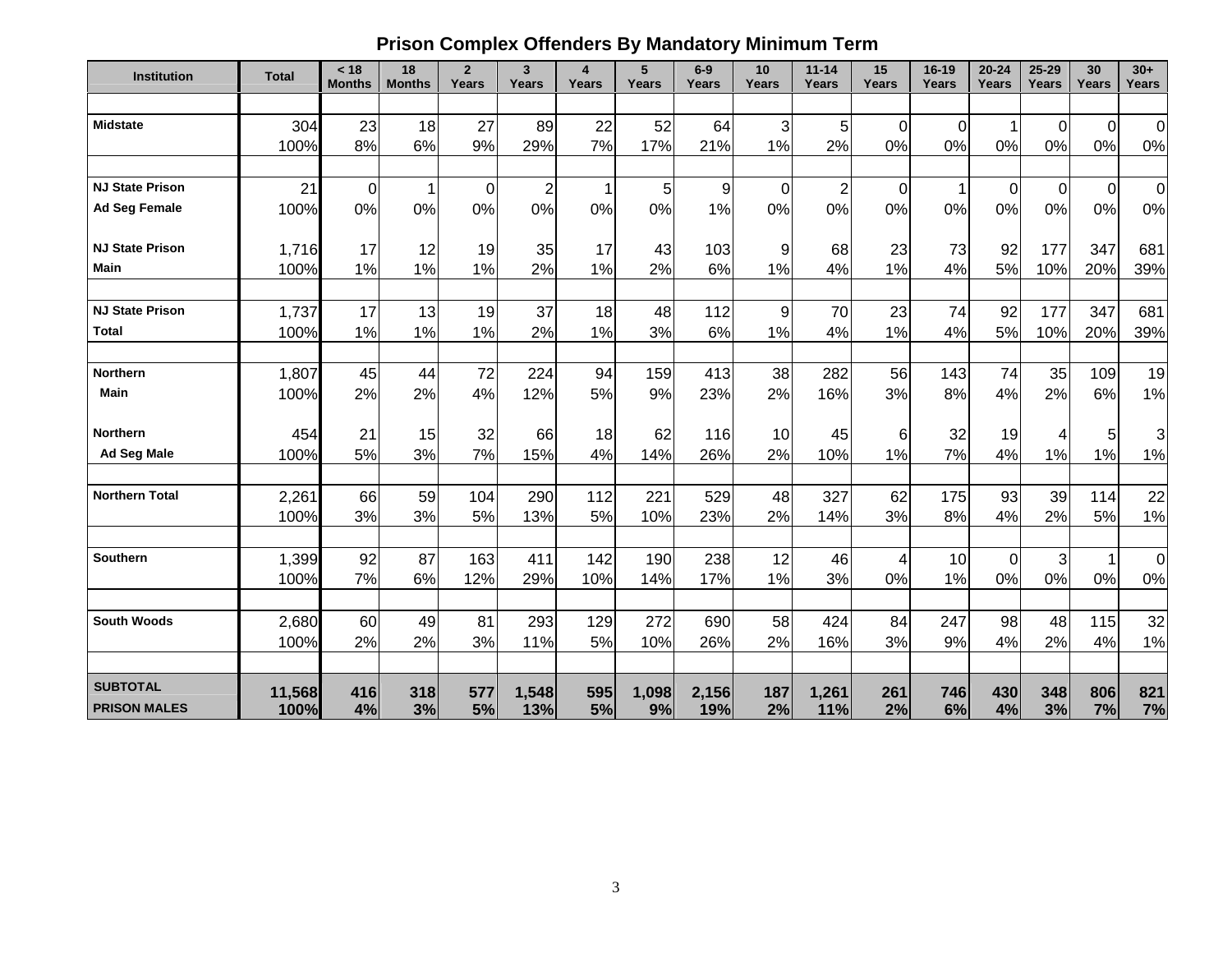# **Prison Complex Offenders By Mandatory Minimum Term**

| <b>Institution</b>     | <b>Total</b> | < 18<br><b>Months</b> | 18<br><b>Months</b> | $\overline{2}$<br>Years | $\mathbf{3}$<br><b>Years</b> | 4<br>Years | 5<br>Years | $6-9$<br><b>Years</b> | 10<br>Years            | $11 - 14$<br>Years | 15<br>Years      | $16 - 19$<br>Years | $20 - 24$<br>Years | 25-29<br>Years | 30<br>Years | $30+$<br>Years |
|------------------------|--------------|-----------------------|---------------------|-------------------------|------------------------------|------------|------------|-----------------------|------------------------|--------------------|------------------|--------------------|--------------------|----------------|-------------|----------------|
|                        |              |                       |                     |                         |                              |            |            |                       |                        |                    |                  |                    |                    |                |             |                |
| <b>Midstate</b>        | 304          | 23                    | 18                  | 27                      | 89                           | 22         | 52         | 64                    | 3                      | 5                  | $\mathbf 0$      | $\mathbf 0$        | 1                  | 0              | $\mathbf 0$ | $\mathbf 0$    |
|                        | 100%         | 8%                    | 6%                  | 9%                      | 29%                          | 7%         | 17%        | 21%                   | 1%                     | 2%                 | 0%               | 0%                 | 0%                 | 0%             | 0%          | 0%             |
|                        |              |                       |                     |                         |                              |            |            |                       |                        |                    |                  |                    |                    |                |             |                |
| <b>NJ State Prison</b> | 21           | $\mathbf 0$           | 1                   | $\mathbf 0$             | $\overline{c}$               | 1          | 5          | $\boldsymbol{9}$      | $\pmb{0}$              | $\overline{c}$     | $\boldsymbol{0}$ | $\mathbf 1$        | $\boldsymbol{0}$   | $\overline{0}$ | $\mathbf 0$ | $\pmb{0}$      |
| <b>Ad Seg Female</b>   | 100%         | 0%                    | 0%                  | 0%                      | 0%                           | 0%         | 0%         | 1%                    | 0%                     | 0%                 | 0%               | 0%                 | 0%                 | 0%             | 0%          | 0%             |
| <b>NJ State Prison</b> |              |                       |                     |                         |                              |            |            |                       |                        |                    |                  |                    |                    |                |             |                |
| Main                   | 1,716        | 17                    | 12                  | 19                      | 35                           | 17         | 43         | 103                   | 9<br>1%                | 68                 | 23               | 73                 | 92                 | 177            | 347         | 681            |
|                        | 100%         | 1%                    | 1%                  | 1%                      | 2%                           | 1%         | 2%         | 6%                    |                        | 4%                 | 1%               | 4%                 | 5%                 | 10%            | 20%         | 39%            |
| <b>NJ State Prison</b> |              | 17                    | 13                  |                         | 37                           | 18         | 48         |                       |                        | 70                 |                  | 74                 |                    | 177            | 347         | 681            |
| <b>Total</b>           | 1,737        |                       |                     | 19                      |                              |            |            | 112                   | $\boldsymbol{9}$<br>1% |                    | 23<br>1%         |                    | 92                 |                |             |                |
|                        | 100%         | 1%                    | 1%                  | 1%                      | 2%                           | 1%         | 3%         | 6%                    |                        | 4%                 |                  | 4%                 | 5%                 | 10%            | 20%         | 39%            |
| <b>Northern</b>        | 1,807        | 45                    | 44                  | 72                      | 224                          | 94         | 159        | 413                   | 38                     | 282                | 56               | 143                | 74                 | 35             | 109         | 19             |
| <b>Main</b>            | 100%         | 2%                    | 2%                  | 4%                      | 12%                          | 5%         | 9%         | 23%                   | 2%                     | 16%                | 3%               | 8%                 | 4%                 | 2%             | 6%          | 1%             |
|                        |              |                       |                     |                         |                              |            |            |                       |                        |                    |                  |                    |                    |                |             |                |
| <b>Northern</b>        | 454          | 21                    | 15                  | 32                      | 66                           | 18         | 62         | 116                   | 10                     | 45                 | 6                | 32                 | 19                 | 4              | 5           | 3              |
| <b>Ad Seg Male</b>     | 100%         | 5%                    | 3%                  | 7%                      | 15%                          | 4%         | 14%        | 26%                   | 2%                     | 10%                | 1%               | 7%                 | 4%                 | 1%             | 1%          | 1%             |
|                        |              |                       |                     |                         |                              |            |            |                       |                        |                    |                  |                    |                    |                |             |                |
| <b>Northern Total</b>  | 2,261        | 66                    | 59                  | 104                     | 290                          | 112        | 221        | 529                   | 48                     | 327                | 62               | 175                | 93                 | 39             | 114         | 22             |
|                        | 100%         | 3%                    | 3%                  | 5%                      | 13%                          | 5%         | 10%        | 23%                   | 2%                     | 14%                | 3%               | 8%                 | 4%                 | 2%             | 5%          | 1%             |
|                        |              |                       |                     |                         |                              |            |            |                       |                        |                    |                  |                    |                    |                |             |                |
| <b>Southern</b>        | 1,399        | 92                    | 87                  | 163                     | 411                          | 142        | 190        | 238                   | 12                     | 46                 | 4                | 10                 | 0                  | 3              | -1          | $\pmb{0}$      |
|                        | 100%         | 7%                    | 6%                  | 12%                     | 29%                          | 10%        | 14%        | 17%                   | 1%                     | 3%                 | 0%               | 1%                 | 0%                 | 0%             | 0%          | 0%             |
|                        |              |                       |                     |                         |                              |            |            |                       |                        |                    |                  |                    |                    |                |             |                |
| <b>South Woods</b>     | 2,680        | 60                    | 49                  | 81                      | 293                          | 129        | 272        | 690                   | 58                     | 424                | 84               | 247                | 98                 | 48             | 115         | 32             |
|                        | 100%         | 2%                    | 2%                  | 3%                      | 11%                          | 5%         | 10%        | 26%                   | 2%                     | 16%                | 3%               | 9%                 | 4%                 | 2%             | 4%          | 1%             |
|                        |              |                       |                     |                         |                              |            |            |                       |                        |                    |                  |                    |                    |                |             |                |
| <b>SUBTOTAL</b>        | 11,568       | 416                   | 318                 | 577                     | 1,548                        | 595        | 1,098      | 2,156                 | 187                    | 1,261              | 261              | 746                | 430                | 348            | 806         | 821            |
| <b>PRISON MALES</b>    | 100%         | 4%                    | 3%                  | 5%                      | 13%                          | 5%         | 9%         | 19%                   | 2%                     | 11%                | 2%               | 6%                 | 4%                 | 3%             | 7%          | 7%             |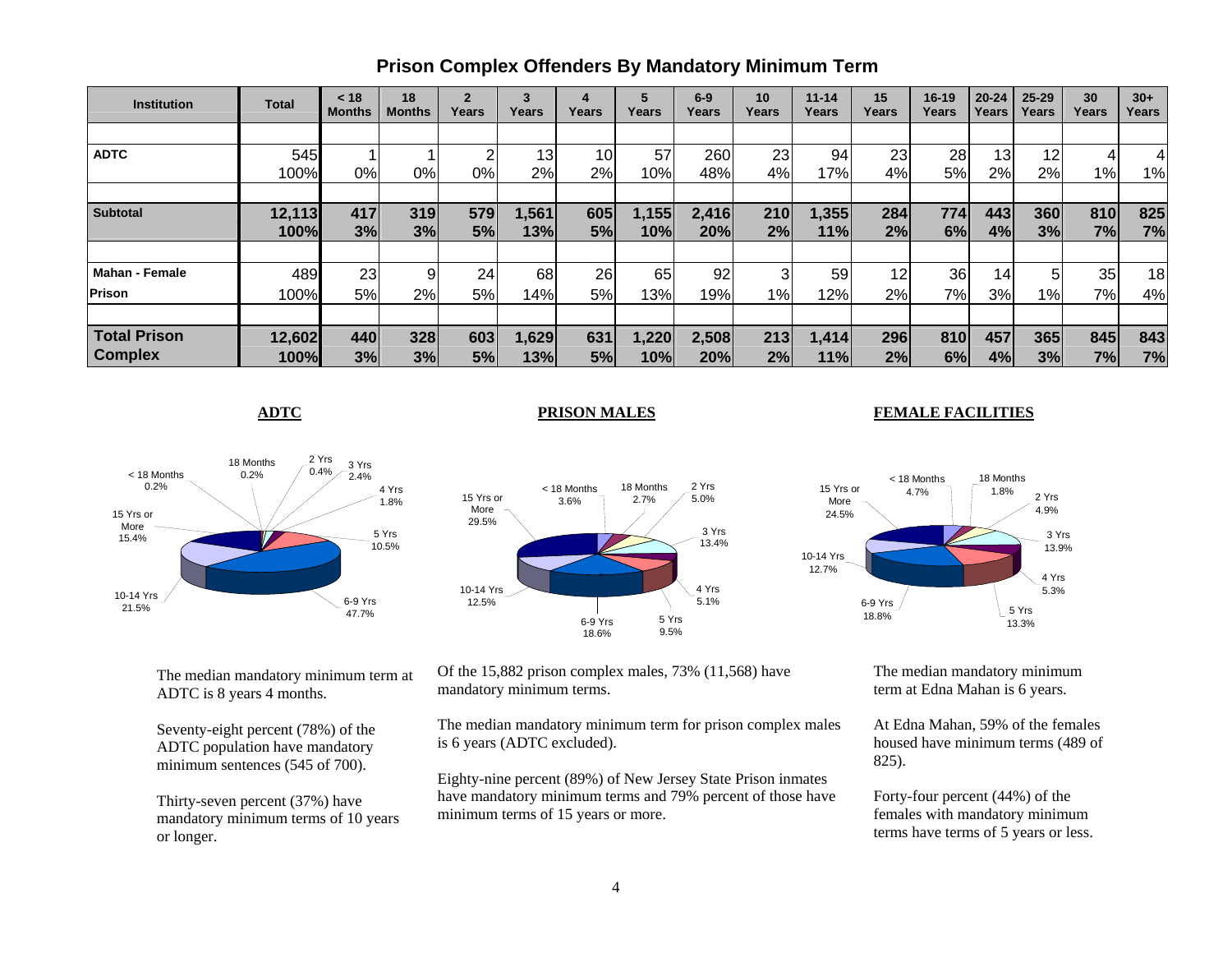| <b>Institution</b>    | <b>Total</b> | < 18<br><b>Months</b> | 18<br><b>Months</b> | $\mathbf{2}$<br>Years | 3<br>Years | 4<br>Years | Years | $6-9$<br>Years | 10<br>Years | $11 - 14$<br>Years | 15<br>Years | $16 - 19$<br>Years | $20 - 24$<br>Years | $25 - 29$<br>Years | 30<br>Years     | $30+$<br>Years |
|-----------------------|--------------|-----------------------|---------------------|-----------------------|------------|------------|-------|----------------|-------------|--------------------|-------------|--------------------|--------------------|--------------------|-----------------|----------------|
|                       |              |                       |                     |                       |            |            |       |                |             |                    |             |                    |                    |                    |                 |                |
| <b>ADTC</b>           | 545          |                       |                     |                       | 13         | 10         | 57    | 260            | 23          | 94                 | 23          | 28                 | 13                 | 12                 |                 |                |
|                       | 100%         | 0%                    | 0%                  | 0%                    | 2%         | 2%         | 10%   | 48%            | 4%          | 17%                | 4%          | 5%                 | 2%                 | 2%                 | $1\%$           | 1%             |
|                       |              |                       |                     |                       |            |            |       |                |             |                    |             |                    |                    |                    |                 |                |
| <b>Subtotal</b>       | 12,113       | 417                   | 319                 | 579                   | 1,561      | 605        | 1,155 | 2,416          | 210         | 1,355              | 284         | 774                | 443                | 360                | 810             | 825            |
|                       | 100%         | 3%                    | 3%                  | 5%                    | 13%        | 5%         | 10%   | 20%            | 2%          | 11%                | 2%          | 6%                 | 4%                 | 3%                 | 7%              | 7%             |
|                       |              |                       |                     |                       |            |            |       |                |             |                    |             |                    |                    |                    |                 |                |
| <b>Mahan - Female</b> | 489          | 23                    |                     | 24                    | 68         | 26         | 65    | 92             | 3           | 59                 | 12          | 36                 | 14 <sub>1</sub>    | 5                  | 35 <sub>l</sub> | 18             |
| Prison                | 100%         | 5%                    | 2%                  | <b>5%</b>             | 14%        | 5%         | 13%   | 19%            | $1\%$       | 12%                | 2%          | 7%                 | 3%                 | 1%                 | 7%              | 4%             |
|                       |              |                       |                     |                       |            |            |       |                |             |                    |             |                    |                    |                    |                 |                |
| <b>Total Prison</b>   | 12,602       | 440                   | 328                 | 603                   | 1,629      | 631        | 1,220 | 2,508          | 213         | 1,414              | 296         | 810                | 457                | 365                | 845             | 843            |
| <b>Complex</b>        | 100%         | 3%                    | 3%                  | 5%                    | 13%        | 5%         | 10%   | 20%            | 2%          | 11%                | 2%          | 6%                 | 4%                 | 3%                 | 7%              | 7%             |

## **Prison Complex Offenders By Mandatory Minimum Term**

**ADTC**

#### **PRISON MALES FEMALE FACILITIES**



2 Yrs 5.0%18 Months 2.7%< 18 Months3.6%3 Yrs 13.4%4 Yrs 5.1%5 Yrs 9.5%6-9 Yrs 18.6%10-14 Yrs 12.5%15 Yrs or More 29.5%

 $\sim$  4 Yrs 4 Yrs 4 Yrs 4 Yrs 4 Yrs 4 Yrs 4 Yrs 4 Yrs 4 Yrs 4 Yrs 4 Yrs 4 Yrs 4 Yrs 4 Yrs 4 Yrs 4 Yrs 4 Yrs 4 Yrs 4 Yrs 4 Yrs 4 Yrs 4 Yrs 4 Yrs 4 Yrs 4 Yrs 4 Yrs 4 Yrs 4 Yrs 4 Yrs 4 Yrs 4 Yrs 4 Yrs 4 Yrs 4 Yrs 4 Yrs 4 Yrs 5.3%5 Yrs 13.3%3 Yrs 13.9% 2 Yrs 4.9%18 Months 1.8%6-9 Yrs 18.8%10-14 Yrs 12.7% 15 Yrs or More24.5%< 18 Months 4.7%

The median mandatory minimum term at ADTC is 8 years 4 months.

Seventy-eight percent (78%) of the ADTC population have mandatory minimum sentences (545 of 700).

Thirty-seven percent (37%) have mandatory minimum terms of 10 years or longer.

Of the 15,882 prison complex males, 73% (11,568) have mandatory minimum terms.

The median mandatory minimum term for prison complex males is 6 years (ADTC excluded).

Eighty-nine percent (89%) of New Jersey State Prison inmates have mandatory minimum terms and 79% percent of those have minimum terms of 15 years or more.

The median mandatory minimum term at Edna Mahan is 6 years.

At Edna Mahan, 59% of the females housed have minimum terms (489 of 825).

Forty-four percent (44%) of the females with mandatory minimum terms have terms of 5 years or less.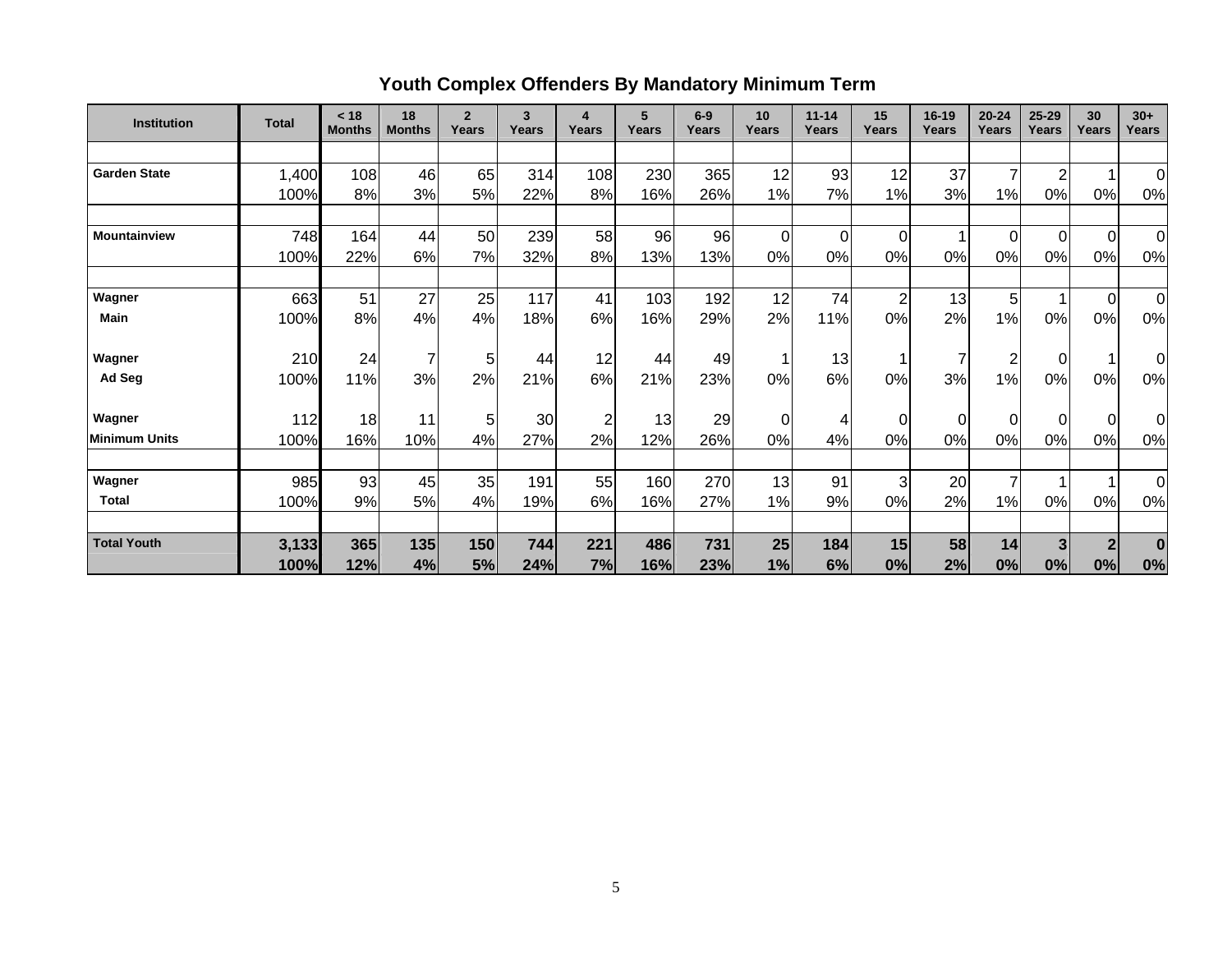# **Youth Complex Offenders By Mandatory Minimum Term**

| <b>Institution</b>   | <b>Total</b> | < 18<br><b>Months</b> | 18<br><b>Months</b> | $\overline{2}$<br>Years | 3<br>Years | 4<br>Years     | 5<br>Years | $6-9$<br>Years | 10<br>Years    | $11 - 14$<br>Years | 15<br>Years    | 16-19<br>Years | $20 - 24$<br>Years | $25 - 29$<br>Years | 30<br>Years    | $30+$<br>Years |
|----------------------|--------------|-----------------------|---------------------|-------------------------|------------|----------------|------------|----------------|----------------|--------------------|----------------|----------------|--------------------|--------------------|----------------|----------------|
|                      |              |                       |                     |                         |            |                |            |                |                |                    |                |                |                    |                    |                |                |
| <b>Garden State</b>  | 1,400        | 108                   | 46                  | 65                      | 314        | 108            | 230        | 365            | 12             | 93                 | 12             | 37             | $\overline{7}$     | $\overline{2}$     |                | $\Omega$       |
|                      | 100%         | 8%                    | 3%                  | 5%                      | 22%        | 8%             | 16%        | 26%            | 1%             | 7%                 | 1%             | 3%             | 1%                 | 0%                 | 0%             | 0%             |
|                      |              |                       |                     |                         |            |                |            |                |                |                    |                |                |                    |                    |                |                |
| <b>Mountainview</b>  | 748          | 164                   | 44                  | 50                      | 239        | 58             | 96         | 96             | 0              | $\mathbf 0$        | $\mathbf 0$    | 1              | $\overline{0}$     | $\Omega$           | $\overline{0}$ | $\Omega$       |
|                      | 100%         | 22%                   | 6%                  | 7%                      | 32%        | 8%             | 13%        | 13%            | 0%             | 0%                 | 0%             | 0%             | 0%                 | 0%                 | 0%             | 0%             |
| Wagner               | 663          | 51                    | 27                  | 25                      | 117        | 41             | 103        | 192            | 12             | 74                 | $\overline{2}$ | 13             | 5                  | 1                  | $\overline{0}$ | 0              |
| <b>Main</b>          | 100%         | 8%                    | 4%                  | 4%                      | 18%        | 6%             | 16%        | 29%            | 2%             | 11%                | 0%             | 2%             | 1%                 | 0%                 | 0%             | 0%             |
| Wagner               | 210          | 24                    | $\overline{7}$      | 5                       | 44         | 12             | 44         | 49             |                | 13                 | 1              | 7              | $\overline{c}$     | 0l                 |                | 0              |
| Ad Seg               | 100%         | 11%                   | 3%                  | 2%                      | 21%        | 6%             | 21%        | 23%            | 0%             | 6%                 | 0%             | 3%             | 1%                 | 0%                 | 0%             | 0%             |
| Wagner               | 112          | 18                    | 11                  | 5 <sub>l</sub>          | 30         | $\overline{c}$ | 13         | 29             | $\overline{0}$ | 4                  | 0              | 0              | $\overline{0}$     | $\Omega$           | $\overline{0}$ | $\overline{0}$ |
| <b>Minimum Units</b> | 100%         | 16%                   | 10%                 | 4%                      | 27%        | 2%             | 12%        | 26%            | 0%             | 4%                 | 0%             | 0%             | 0%                 | 0%                 | 0%             | 0%             |
| Wagner               | 985          | 93                    | 45                  | 35                      | 191        | 55             | 160        | 270            | 13             | 91                 | $\mathbf{3}$   | 20             | $\overline{7}$     |                    |                | $\Omega$       |
| <b>Total</b>         | 100%         | 9%                    | 5%                  | 4%                      | 19%        | 6%             | 16%        | 27%            | 1%             | 9%                 | 0%             | 2%             | 1%                 | 0%                 | 0%             | $0\%$          |
|                      |              |                       |                     |                         |            |                |            |                |                |                    |                |                |                    |                    |                |                |
| <b>Total Youth</b>   | 3,133        | 365                   | 135                 | 150                     | 744        | 221            | 486        | 731            | 25             | 184                | 15             | 58             | 14                 | 3 <sup>1</sup>     | $\overline{2}$ | $\bf{0}$       |
|                      | 100%         | 12%                   | 4%                  | 5%                      | 24%        | 7%             | 16%        | 23%            | 1%             | 6%                 | 0%             | 2%             | 0%                 | 0%                 | 0%             | 0%             |